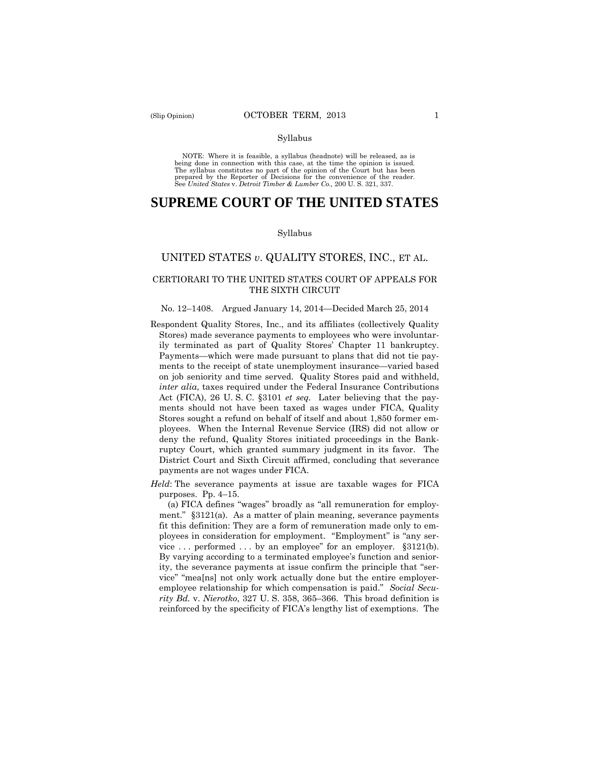#### Syllabus

 NOTE: Where it is feasible, a syllabus (headnote) will be released, as is being done in connection with this case, at the time the opinion is issued. The syllabus constitutes no part of the opinion of the Court but has been<br>prepared by the Reporter of Decisions for the convenience of the reader.<br>See United States v. Detroit Timber & Lumber Co., 200 U.S. 321, 337.

# **SUPREME COURT OF THE UNITED STATES**

#### Syllabus

# UNITED STATES *v*. QUALITY STORES, INC., ET AL.

# CERTIORARI TO THE UNITED STATES COURT OF APPEALS FOR THE SIXTH CIRCUIT

#### No. 12–1408. Argued January 14, 2014—Decided March 25, 2014

- Respondent Quality Stores, Inc., and its affiliates (collectively Quality Stores) made severance payments to employees who were involuntarily terminated as part of Quality Stores' Chapter 11 bankruptcy. Payments—which were made pursuant to plans that did not tie payments to the receipt of state unemployment insurance—varied based on job seniority and time served. Quality Stores paid and withheld, *inter alia*, taxes required under the Federal Insurance Contributions Act (FICA), 26 U. S. C. §3101 *et seq*. Later believing that the payments should not have been taxed as wages under FICA, Quality Stores sought a refund on behalf of itself and about 1,850 former employees. When the Internal Revenue Service (IRS) did not allow or deny the refund, Quality Stores initiated proceedings in the Bankruptcy Court, which granted summary judgment in its favor. The District Court and Sixth Circuit affirmed, concluding that severance payments are not wages under FICA.
- *Held*: The severance payments at issue are taxable wages for FICA purposes. Pp. 4–15.

vice ... performed ... by an employee" for an employer.  $§3121(b)$ . (a) FICA defines "wages" broadly as "all remuneration for employment." §3121(a). As a matter of plain meaning, severance payments fit this definition: They are a form of remuneration made only to employees in consideration for employment. "Employment" is "any ser-By varying according to a terminated employee's function and seniority, the severance payments at issue confirm the principle that "service" "mea[ns] not only work actually done but the entire employeremployee relationship for which compensation is paid." *Social Security Bd.* v. *Nierotko*, 327 U. S. 358, 365–366. This broad definition is reinforced by the specificity of FICA's lengthy list of exemptions. The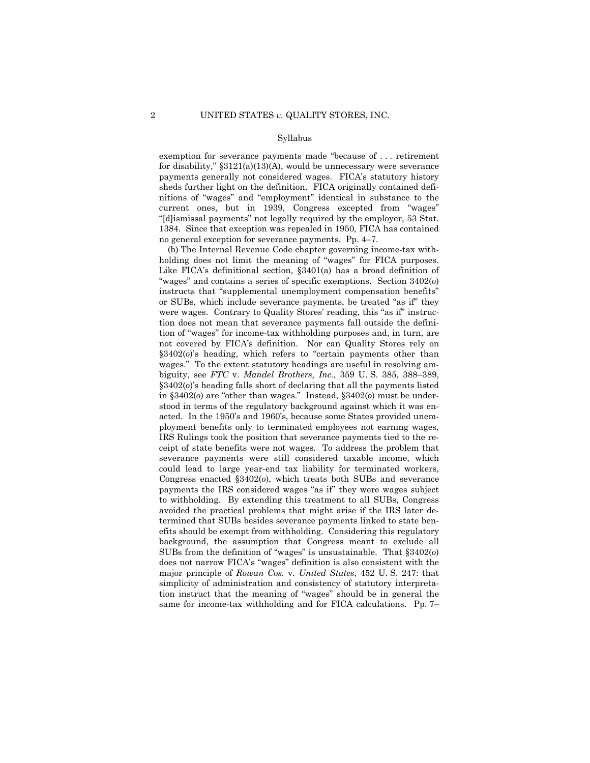#### Syllabus

 payments generally not considered wages. FICA's statutory history exemption for severance payments made "because of . . . retirement for disability," §3121(a)(13)(A), would be unnecessary were severance sheds further light on the definition. FICA originally contained definitions of "wages" and "employment" identical in substance to the current ones, but in 1939, Congress excepted from "wages" "[d]ismissal payments" not legally required by the employer, 53 Stat. 1384. Since that exception was repealed in 1950, FICA has contained no general exception for severance payments. Pp. 4–7.

 were wages. Contrary to Quality Stores' reading, this "as if" instruc-(b) The Internal Revenue Code chapter governing income-tax withholding does not limit the meaning of "wages" for FICA purposes. Like FICA's definitional section, §3401(a) has a broad definition of "wages" and contains a series of specific exemptions. Section 3402(*o*) instructs that "supplemental unemployment compensation benefits" or SUBs, which include severance payments, be treated "as if" they tion does not mean that severance payments fall outside the definition of "wages" for income-tax withholding purposes and, in turn, are not covered by FICA's definition. Nor can Quality Stores rely on §3402(*o*)'s heading, which refers to "certain payments other than wages." To the extent statutory headings are useful in resolving ambiguity, see *FTC* v. *Mandel Brothers, Inc.*, 359 U. S. 385, 388–389, §3402(*o*)'s heading falls short of declaring that all the payments listed in §3402(*o*) are "other than wages." Instead, §3402(*o*) must be understood in terms of the regulatory background against which it was enacted. In the 1950's and 1960's, because some States provided unemployment benefits only to terminated employees not earning wages, IRS Rulings took the position that severance payments tied to the receipt of state benefits were not wages. To address the problem that severance payments were still considered taxable income, which could lead to large year-end tax liability for terminated workers, Congress enacted §3402(*o*), which treats both SUBs and severance payments the IRS considered wages "as if" they were wages subject to withholding. By extending this treatment to all SUBs, Congress avoided the practical problems that might arise if the IRS later determined that SUBs besides severance payments linked to state benefits should be exempt from withholding. Considering this regulatory background, the assumption that Congress meant to exclude all SUBs from the definition of "wages" is unsustainable. That §3402(*o*) does not narrow FICA's "wages" definition is also consistent with the major principle of *Rowan Cos.* v. *United States*, 452 U. S. 247: that simplicity of administration and consistency of statutory interpretation instruct that the meaning of "wages" should be in general the same for income-tax withholding and for FICA calculations. Pp. 7–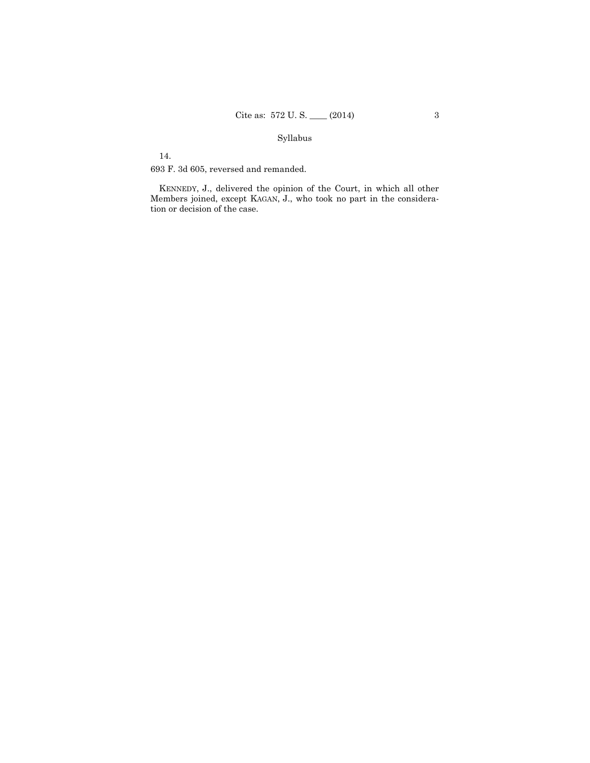# Syllabus

14.

693 F. 3d 605, reversed and remanded.

KENNEDY, J., delivered the opinion of the Court, in which all other Members joined, except KAGAN, J., who took no part in the consideration or decision of the case.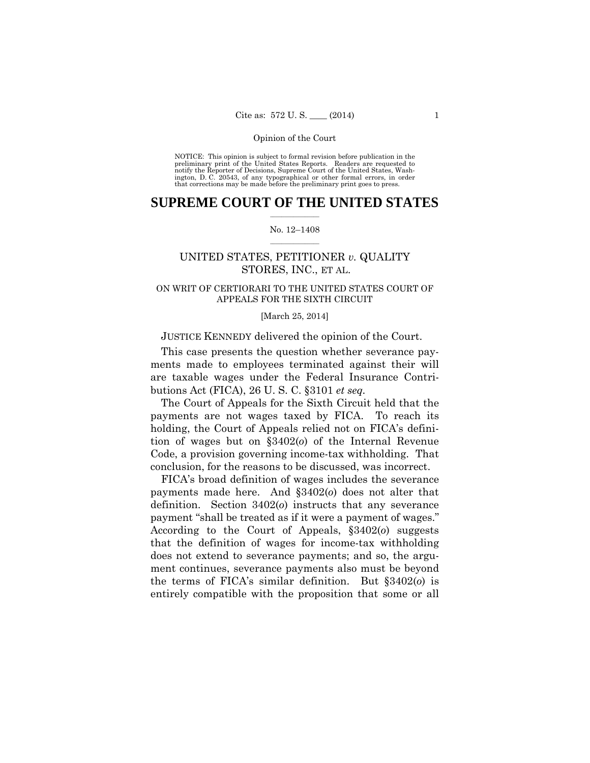preliminary print of the United States Reports. Readers are requested to notify the Reporter of Decisions, Supreme Court of the United States, Wash- ington, D. C. 20543, of any typographical or other formal errors, in order that corrections may be made before the preliminary print goes to press. NOTICE: This opinion is subject to formal revision before publication in the

# $\frac{1}{2}$  ,  $\frac{1}{2}$  ,  $\frac{1}{2}$  ,  $\frac{1}{2}$  ,  $\frac{1}{2}$  ,  $\frac{1}{2}$  ,  $\frac{1}{2}$ **SUPREME COURT OF THE UNITED STATES**

# $\frac{1}{2}$  ,  $\frac{1}{2}$  ,  $\frac{1}{2}$  ,  $\frac{1}{2}$  ,  $\frac{1}{2}$  ,  $\frac{1}{2}$ No. 12–1408

# UNITED STATES, PETITIONER *v.* QUALITY STORES, INC., ET AL.

# ON WRIT OF CERTIORARI TO THE UNITED STATES COURT OF APPEALS FOR THE SIXTH CIRCUIT

# [March 25, 2014]

# JUSTICE KENNEDY delivered the opinion of the Court.

This case presents the question whether severance payments made to employees terminated against their will are taxable wages under the Federal Insurance Contributions Act (FICA), 26 U. S. C. §3101 *et seq.*

The Court of Appeals for the Sixth Circuit held that the payments are not wages taxed by FICA. To reach its holding, the Court of Appeals relied not on FICA's definition of wages but on §3402(*o*) of the Internal Revenue Code, a provision governing income-tax withholding. That conclusion, for the reasons to be discussed, was incorrect.

 payment "shall be treated as if it were a payment of wages." FICA's broad definition of wages includes the severance payments made here. And §3402(*o*) does not alter that definition. Section 3402(*o*) instructs that any severance According to the Court of Appeals, §3402(*o*) suggests that the definition of wages for income-tax withholding does not extend to severance payments; and so, the argument continues, severance payments also must be beyond the terms of FICA's similar definition. But §3402(*o*) is entirely compatible with the proposition that some or all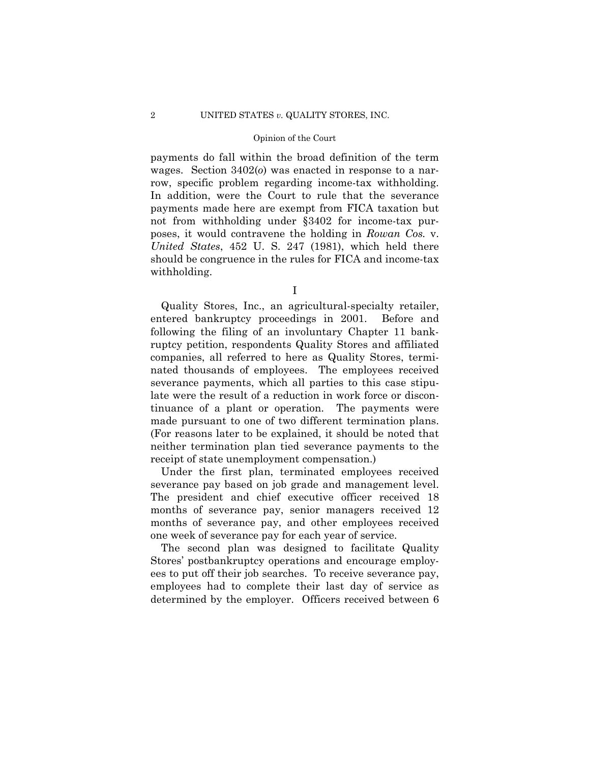row, specific problem regarding income-tax withholding. payments do fall within the broad definition of the term wages. Section 3402(*o*) was enacted in response to a nar-In addition, were the Court to rule that the severance payments made here are exempt from FICA taxation but not from withholding under §3402 for income-tax purposes, it would contravene the holding in *Rowan Cos.* v. *United States*, 452 U. S. 247 (1981), which held there should be congruence in the rules for FICA and income-tax withholding.

I

Quality Stores, Inc., an agricultural-specialty retailer, entered bankruptcy proceedings in 2001. Before and following the filing of an involuntary Chapter 11 bankruptcy petition, respondents Quality Stores and affiliated companies, all referred to here as Quality Stores, terminated thousands of employees. The employees received severance payments, which all parties to this case stipulate were the result of a reduction in work force or discontinuance of a plant or operation. The payments were made pursuant to one of two different termination plans. (For reasons later to be explained, it should be noted that neither termination plan tied severance payments to the receipt of state unemployment compensation.)

Under the first plan, terminated employees received severance pay based on job grade and management level. The president and chief executive officer received 18 months of severance pay, senior managers received 12 months of severance pay, and other employees received one week of severance pay for each year of service.

The second plan was designed to facilitate Quality Stores' postbankruptcy operations and encourage employees to put off their job searches. To receive severance pay, employees had to complete their last day of service as determined by the employer. Officers received between 6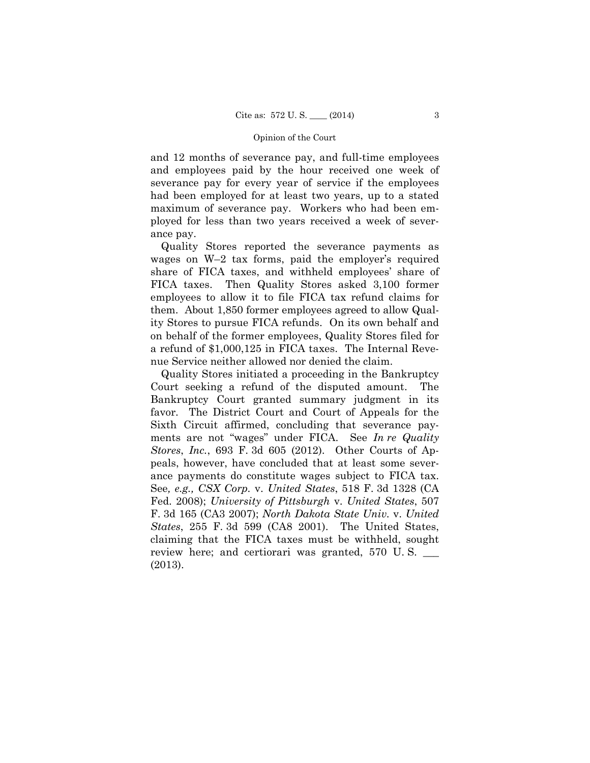and 12 months of severance pay, and full-time employees and employees paid by the hour received one week of severance pay for every year of service if the employees had been employed for at least two years, up to a stated maximum of severance pay. Workers who had been employed for less than two years received a week of severance pay.

 them. About 1,850 former employees agreed to allow Qual-Quality Stores reported the severance payments as wages on W–2 tax forms, paid the employer's required share of FICA taxes, and withheld employees' share of FICA taxes. Then Quality Stores asked 3,100 former employees to allow it to file FICA tax refund claims for ity Stores to pursue FICA refunds. On its own behalf and on behalf of the former employees, Quality Stores filed for a refund of \$1,000,125 in FICA taxes. The Internal Revenue Service neither allowed nor denied the claim.

Quality Stores initiated a proceeding in the Bankruptcy Court seeking a refund of the disputed amount. The Bankruptcy Court granted summary judgment in its favor. The District Court and Court of Appeals for the Sixth Circuit affirmed, concluding that severance payments are not "wages" under FICA. See *In re Quality Stores*, *Inc.*, 693 F. 3d 605 (2012). Other Courts of Appeals, however, have concluded that at least some severance payments do constitute wages subject to FICA tax. See*, e.g., CSX Corp.* v. *United States*, 518 F. 3d 1328 (CA Fed. 2008); *University of Pittsburgh* v. *United States*, 507 F. 3d 165 (CA3 2007); *North Dakota State Univ.* v. *United States*, 255 F. 3d 599 (CA8 2001). The United States, claiming that the FICA taxes must be withheld, sought review here; and certiorari was granted, 570 U.S. (2013).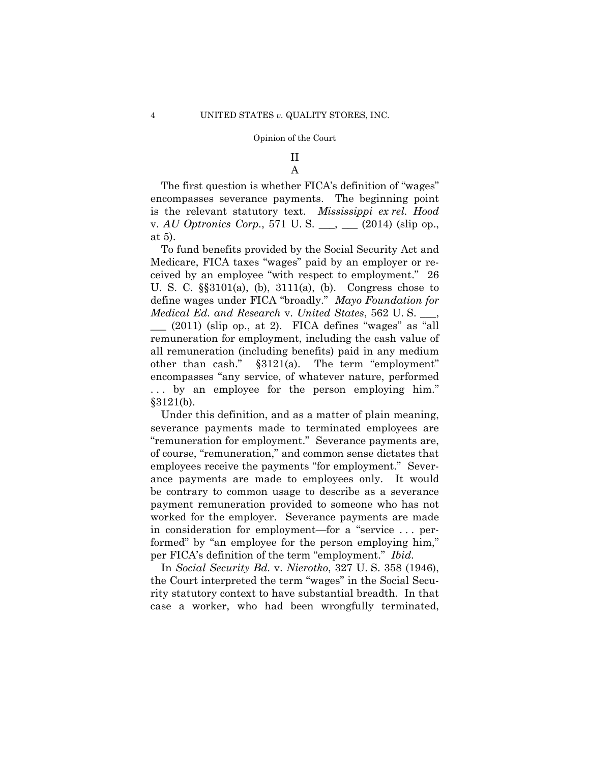# II

A

The first question is whether FICA's definition of "wages" encompasses severance payments. The beginning point is the relevant statutory text. *Mississippi ex rel. Hood*  v. *AU Optronics Corp.*, 571 U.S. <sub>\_\_\_</sub>, \_\_\_ (2014) (slip op., at 5).

To fund benefits provided by the Social Security Act and Medicare, FICA taxes "wages" paid by an employer or received by an employee "with respect to employment." 26 U. S. C. §§3101(a), (b), 3111(a), (b). Congress chose to define wages under FICA "broadly." *Mayo Foundation for Medical Ed. and Research* v. *United States*, 562 U. S. \_\_\_,  $\_\_$  (2011) (slip op., at 2). FICA defines "wages" as "all remuneration for employment, including the cash value of all remuneration (including benefits) paid in any medium other than cash." §3121(a). The term "employment" encompasses "any service, of whatever nature, performed . . . by an employee for the person employing him." §3121(b).

Under this definition, and as a matter of plain meaning, severance payments made to terminated employees are "remuneration for employment." Severance payments are, of course, "remuneration," and common sense dictates that employees receive the payments "for employment." Severance payments are made to employees only. It would be contrary to common usage to describe as a severance payment remuneration provided to someone who has not worked for the employer. Severance payments are made in consideration for employment—for a "service . . . performed" by "an employee for the person employing him," per FICA's definition of the term "employment." *Ibid.*

 In *Social Security Bd.* v. *Nierotko*, 327 U. S. 358 (1946), the Court interpreted the term "wages" in the Social Security statutory context to have substantial breadth. In that case a worker, who had been wrongfully terminated,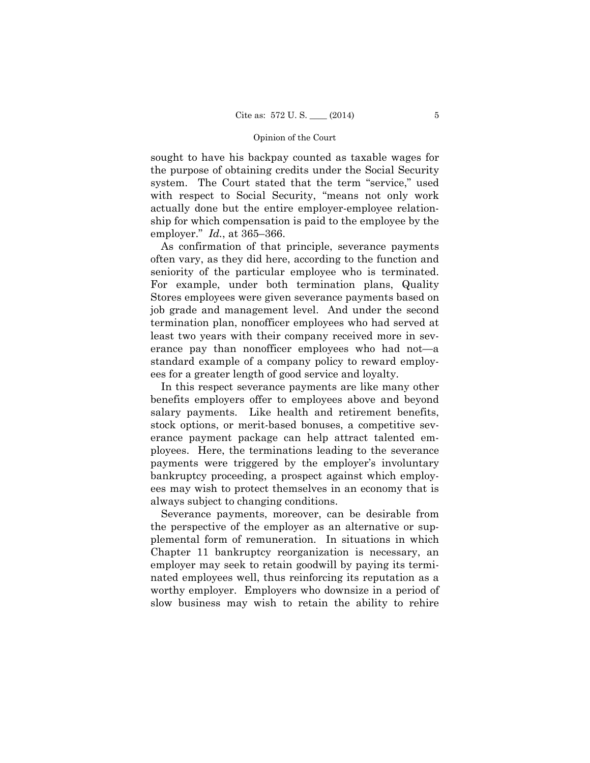sought to have his backpay counted as taxable wages for the purpose of obtaining credits under the Social Security system. The Court stated that the term "service," used with respect to Social Security, "means not only work actually done but the entire employer-employee relationship for which compensation is paid to the employee by the employer." *Id.*, at 365–366.

As confirmation of that principle, severance payments often vary, as they did here, according to the function and seniority of the particular employee who is terminated. For example, under both termination plans, Quality Stores employees were given severance payments based on job grade and management level. And under the second termination plan, nonofficer employees who had served at least two years with their company received more in severance pay than nonofficer employees who had not—a standard example of a company policy to reward employees for a greater length of good service and loyalty.

In this respect severance payments are like many other benefits employers offer to employees above and beyond salary payments. Like health and retirement benefits, stock options, or merit-based bonuses, a competitive severance payment package can help attract talented employees. Here, the terminations leading to the severance payments were triggered by the employer's involuntary bankruptcy proceeding, a prospect against which employees may wish to protect themselves in an economy that is always subject to changing conditions.

Severance payments, moreover, can be desirable from the perspective of the employer as an alternative or supplemental form of remuneration. In situations in which Chapter 11 bankruptcy reorganization is necessary, an employer may seek to retain goodwill by paying its terminated employees well, thus reinforcing its reputation as a worthy employer. Employers who downsize in a period of slow business may wish to retain the ability to rehire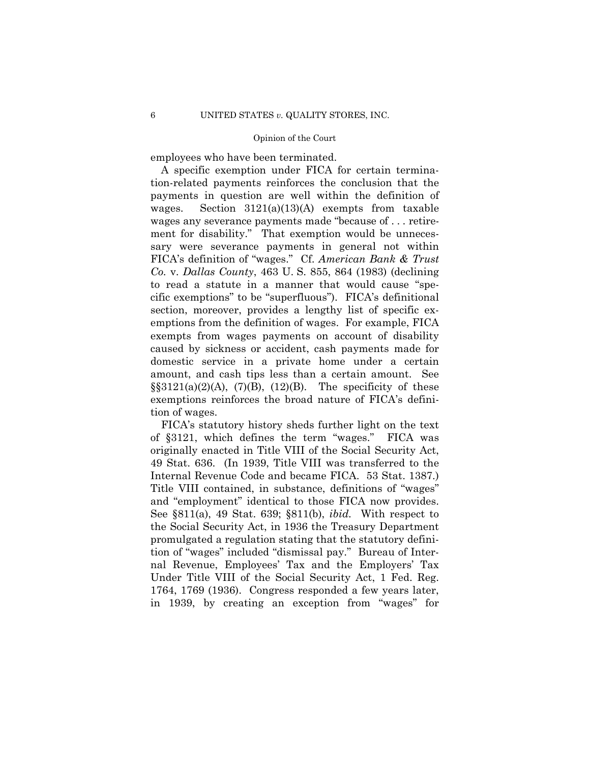employees who have been terminated.

A specific exemption under FICA for certain termination-related payments reinforces the conclusion that the payments in question are well within the definition of wages. Section 3121(a)(13)(A) exempts from taxable wages any severance payments made "because of . . . retirement for disability." That exemption would be unnecessary were severance payments in general not within FICA's definition of "wages." Cf. *American Bank & Trust Co.* v. *Dallas County*, 463 U. S. 855, 864 (1983) (declining to read a statute in a manner that would cause "specific exemptions" to be "superfluous"). FICA's definitional section, moreover, provides a lengthy list of specific exemptions from the definition of wages. For example, FICA exempts from wages payments on account of disability caused by sickness or accident, cash payments made for domestic service in a private home under a certain amount, and cash tips less than a certain amount. See  $\S$ §3121(a)(2)(A), (7)(B), (12)(B). The specificity of these exemptions reinforces the broad nature of FICA's definition of wages.

FICA's statutory history sheds further light on the text of §3121, which defines the term "wages." FICA was originally enacted in Title VIII of the Social Security Act, 49 Stat. 636. (In 1939, Title VIII was transferred to the Internal Revenue Code and became FICA. 53 Stat. 1387.) Title VIII contained, in substance, definitions of "wages" and "employment" identical to those FICA now provides. See §811(a), 49 Stat. 639; §811(b), *ibid.* With respect to the Social Security Act, in 1936 the Treasury Department promulgated a regulation stating that the statutory definition of "wages" included "dismissal pay." Bureau of Internal Revenue, Employees' Tax and the Employers' Tax Under Title VIII of the Social Security Act, 1 Fed. Reg. 1764, 1769 (1936). Congress responded a few years later, in 1939, by creating an exception from "wages" for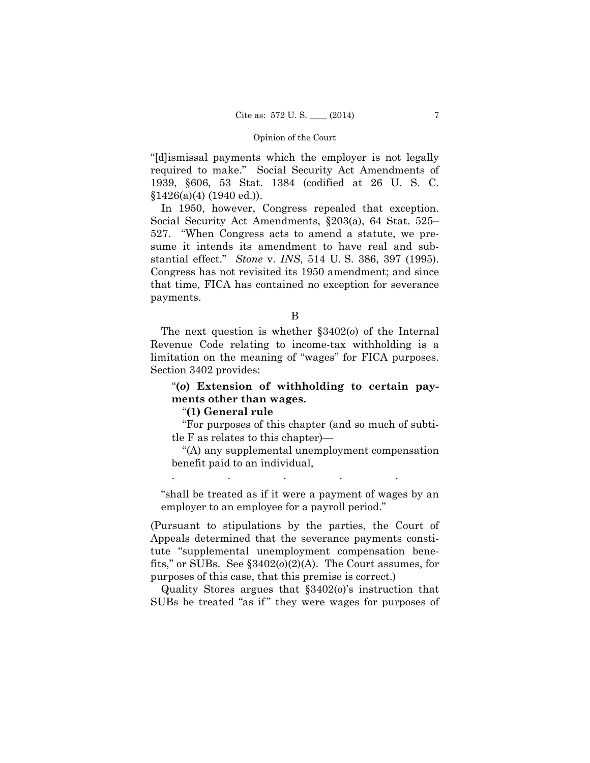"[d]ismissal payments which the employer is not legally required to make." Social Security Act Amendments of 1939, §606, 53 Stat. 1384 (codified at 26 U. S. C.  $$1426(a)(4) (1940 ed.).$ 

 In 1950, however, Congress repealed that exception. Social Security Act Amendments, §203(a), 64 Stat. 525– 527. "When Congress acts to amend a statute, we presume it intends its amendment to have real and substantial effect." *Stone* v. *INS*, 514 U. S. 386, 397 (1995). Congress has not revisited its 1950 amendment; and since that time, FICA has contained no exception for severance payments.

B

 limitation on the meaning of "wages" for FICA purposes. The next question is whether §3402(*o*) of the Internal Revenue Code relating to income-tax withholding is a Section 3402 provides:

# "**(***o***) Extension of withholding to certain payments other than wages.**

# "**(1) General rule**

"For purposes of this chapter (and so much of subtitle F as relates to this chapter)—

"(A) any supplemental unemployment compensation benefit paid to an individual,

"shall be treated as if it were a payment of wages by an employer to an employee for a payroll period."

. The same is a set of the same in the same in the same in the same in the same in the same in the same in the same in the same in the same in the same in the same in the same in the same in the same in the same in the sa

(Pursuant to stipulations by the parties, the Court of Appeals determined that the severance payments constitute "supplemental unemployment compensation benefits," or SUBs. See §3402(*o*)(2)(A). The Court assumes, for purposes of this case, that this premise is correct.)

Quality Stores argues that §3402(*o*)'s instruction that SUBs be treated "as if" they were wages for purposes of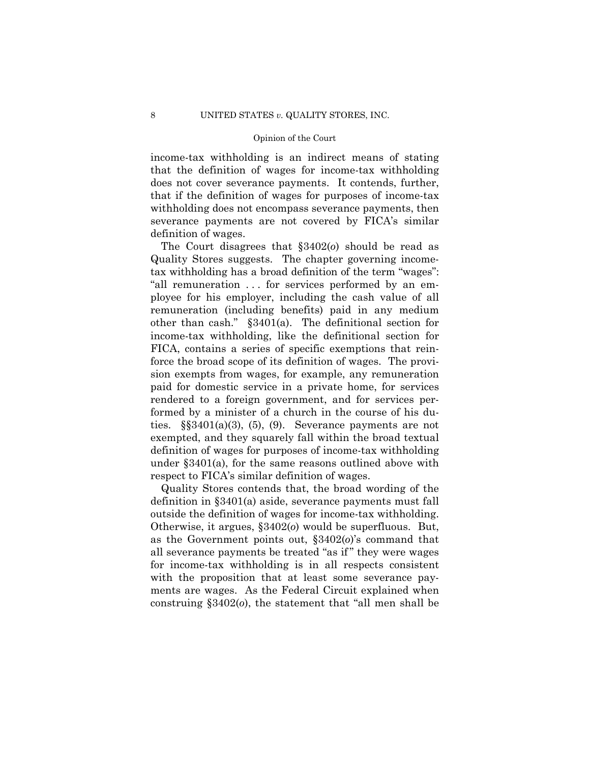income-tax withholding is an indirect means of stating that the definition of wages for income-tax withholding does not cover severance payments. It contends, further, that if the definition of wages for purposes of income-tax withholding does not encompass severance payments, then severance payments are not covered by FICA's similar definition of wages.

 tax withholding has a broad definition of the term "wages": The Court disagrees that §3402(*o*) should be read as Quality Stores suggests. The chapter governing income-"all remuneration . . . for services performed by an employee for his employer, including the cash value of all remuneration (including benefits) paid in any medium other than cash." §3401(a). The definitional section for income-tax withholding, like the definitional section for FICA, contains a series of specific exemptions that reinforce the broad scope of its definition of wages. The provision exempts from wages, for example, any remuneration paid for domestic service in a private home, for services rendered to a foreign government, and for services performed by a minister of a church in the course of his duties.  $\S$ §3401(a)(3), (5), (9). Severance payments are not exempted, and they squarely fall within the broad textual definition of wages for purposes of income-tax withholding under §3401(a), for the same reasons outlined above with respect to FICA's similar definition of wages.

Quality Stores contends that, the broad wording of the definition in §3401(a) aside, severance payments must fall outside the definition of wages for income-tax withholding. Otherwise, it argues, §3402(*o*) would be superfluous. But, as the Government points out, §3402(*o*)'s command that all severance payments be treated "as if " they were wages for income-tax withholding is in all respects consistent with the proposition that at least some severance payments are wages. As the Federal Circuit explained when construing §3402(*o*), the statement that "all men shall be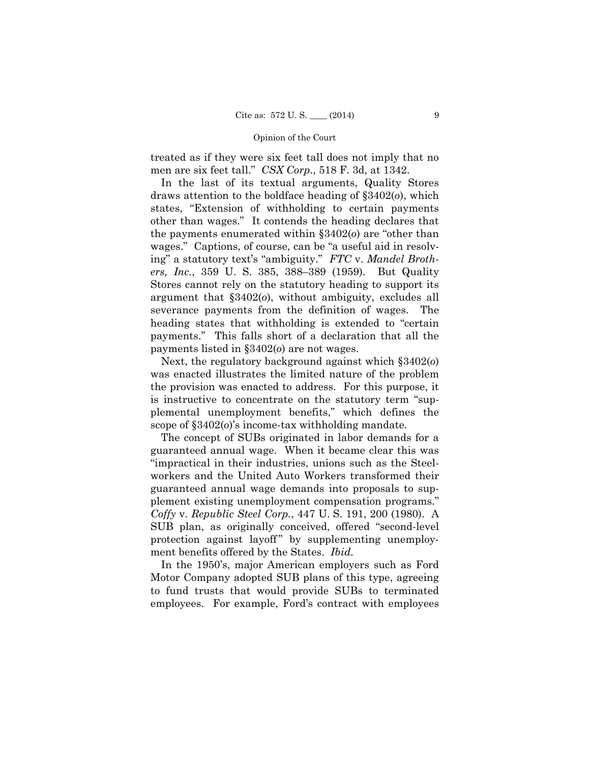treated as if they were six feet tall does not imply that no men are six feet tall." *CSX Corp.*, 518 F. 3d, at 1342.

In the last of its textual arguments, Quality Stores draws attention to the boldface heading of §3402(*o*), which states, "Extension of withholding to certain payments other than wages." It contends the heading declares that the payments enumerated within §3402(*o*) are "other than wages." Captions, of course, can be "a useful aid in resolving" a statutory text's "ambiguity." *FTC* v. *Mandel Brothers, Inc.*, 359 U. S. 385, 388–389 (1959). But Quality Stores cannot rely on the statutory heading to support its argument that §3402(*o*), without ambiguity, excludes all severance payments from the definition of wages. The heading states that withholding is extended to "certain payments." This falls short of a declaration that all the payments listed in §3402(*o*) are not wages.

Next, the regulatory background against which §3402(*o*) was enacted illustrates the limited nature of the problem the provision was enacted to address. For this purpose, it is instructive to concentrate on the statutory term "supplemental unemployment benefits," which defines the scope of §3402(*o*)'s income-tax withholding mandate*.* 

The concept of SUBs originated in labor demands for a guaranteed annual wage. When it became clear this was "impractical in their industries, unions such as the Steelworkers and the United Auto Workers transformed their guaranteed annual wage demands into proposals to supplement existing unemployment compensation programs." *Coffy* v. *Republic Steel Corp.*, 447 U. S. 191, 200 (1980). A SUB plan, as originally conceived, offered "second-level protection against layoff" by supplementing unemployment benefits offered by the States. *Ibid.* 

In the 1950's, major American employers such as Ford Motor Company adopted SUB plans of this type, agreeing to fund trusts that would provide SUBs to terminated employees. For example, Ford's contract with employees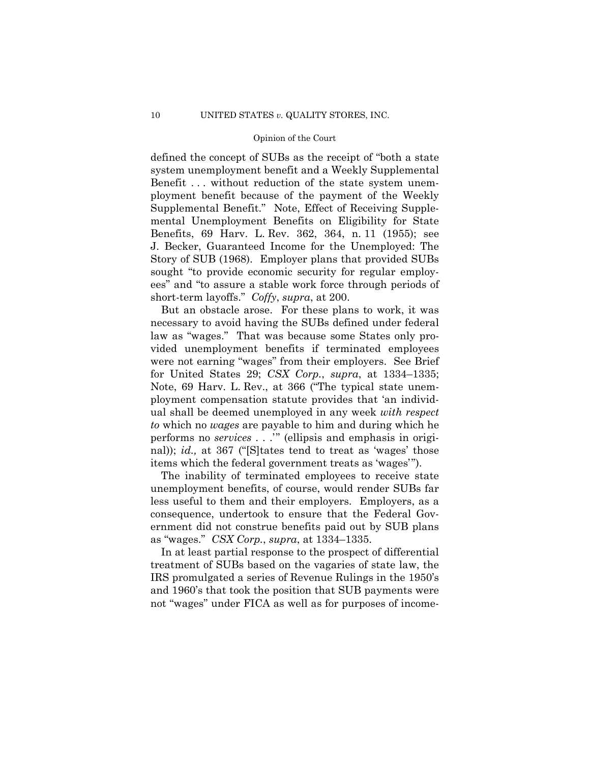defined the concept of SUBs as the receipt of "both a state system unemployment benefit and a Weekly Supplemental Benefit . . . without reduction of the state system unemployment benefit because of the payment of the Weekly Supplemental Benefit." Note, Effect of Receiving Supplemental Unemployment Benefits on Eligibility for State Benefits, 69 Harv. L. Rev. 362, 364, n. 11 (1955); see J. Becker, Guaranteed Income for the Unemployed: The Story of SUB (1968). Employer plans that provided SUBs sought "to provide economic security for regular employees" and "to assure a stable work force through periods of short-term layoffs." *Coffy*, *supra*, at 200.

But an obstacle arose. For these plans to work, it was necessary to avoid having the SUBs defined under federal law as "wages." That was because some States only provided unemployment benefits if terminated employees were not earning "wages" from their employers. See Brief for United States 29; *CSX Corp.*, *supra*, at 1334–1335; Note, 69 Harv. L. Rev., at 366 ("The typical state unemployment compensation statute provides that 'an individual shall be deemed unemployed in any week *with respect to* which no *wages* are payable to him and during which he performs no *services* . . .'" (ellipsis and emphasis in original)); *id.,* at 367 ("[S]tates tend to treat as 'wages' those items which the federal government treats as 'wages'").

The inability of terminated employees to receive state unemployment benefits, of course, would render SUBs far less useful to them and their employers. Employers, as a consequence, undertook to ensure that the Federal Government did not construe benefits paid out by SUB plans as "wages." *CSX Corp.*, *supra*, at 1334–1335.

In at least partial response to the prospect of differential treatment of SUBs based on the vagaries of state law, the IRS promulgated a series of Revenue Rulings in the 1950's and 1960's that took the position that SUB payments were not "wages" under FICA as well as for purposes of income-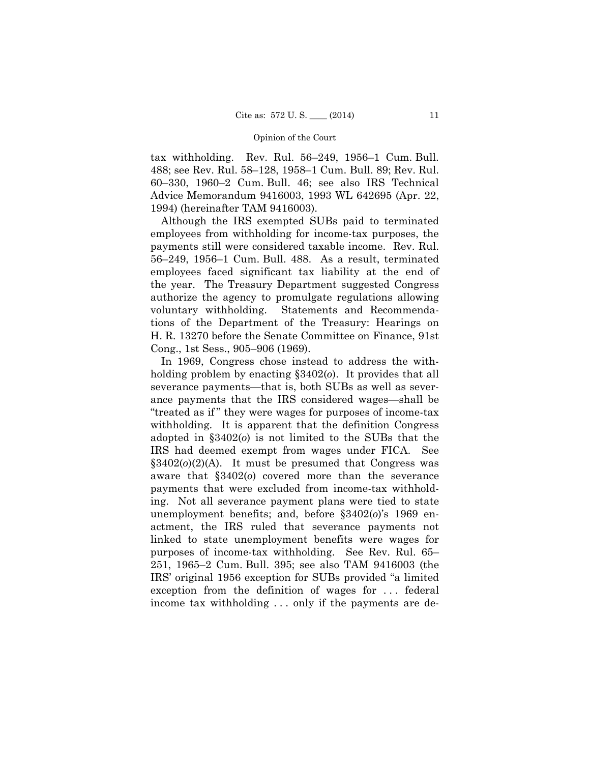Advice Memorandum 9416003, 1993 WL 642695 (Apr. 22, tax withholding. Rev. Rul. 56–249, 1956–1 Cum. Bull. 488; see Rev. Rul. 58–128, 1958–1 Cum. Bull. 89; Rev. Rul. 60–330, 1960–2 Cum. Bull. 46; see also IRS Technical 1994) (hereinafter TAM 9416003).

Although the IRS exempted SUBs paid to terminated employees from withholding for income-tax purposes, the payments still were considered taxable income. Rev. Rul. 56–249, 1956–1 Cum. Bull. 488. As a result, terminated employees faced significant tax liability at the end of the year. The Treasury Department suggested Congress authorize the agency to promulgate regulations allowing voluntary withholding. Statements and Recommendations of the Department of the Treasury: Hearings on H. R. 13270 before the Senate Committee on Finance, 91st Cong., 1st Sess., 905–906 (1969).

 IRS had deemed exempt from wages under FICA. See In 1969, Congress chose instead to address the withholding problem by enacting §3402(*o*). It provides that all severance payments—that is, both SUBs as well as severance payments that the IRS considered wages—shall be "treated as if " they were wages for purposes of income-tax withholding. It is apparent that the definition Congress adopted in §3402(*o*) is not limited to the SUBs that the §3402(*o*)(2)(A). It must be presumed that Congress was aware that §3402(*o*) covered more than the severance payments that were excluded from income-tax withholding. Not all severance payment plans were tied to state unemployment benefits; and, before §3402(*o*)'s 1969 enactment, the IRS ruled that severance payments not linked to state unemployment benefits were wages for purposes of income-tax withholding. See Rev. Rul. 65– 251, 1965–2 Cum. Bull. 395; see also TAM 9416003 (the IRS' original 1956 exception for SUBs provided "a limited exception from the definition of wages for . . . federal income tax withholding . . . only if the payments are de-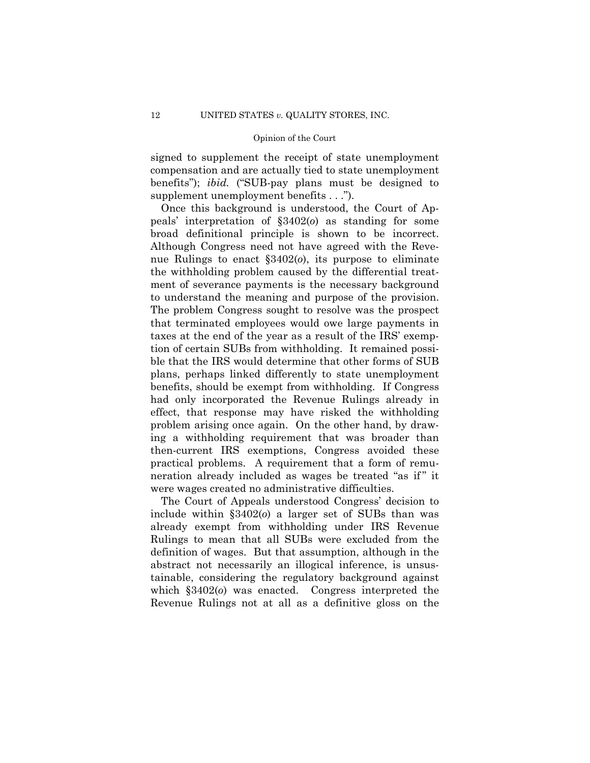signed to supplement the receipt of state unemployment compensation and are actually tied to state unemployment benefits"); *ibid.* ("SUB-pay plans must be designed to supplement unemployment benefits . . .").

Once this background is understood, the Court of Appeals' interpretation of §3402(*o*) as standing for some broad definitional principle is shown to be incorrect. Although Congress need not have agreed with the Revenue Rulings to enact §3402(*o*), its purpose to eliminate the withholding problem caused by the differential treatment of severance payments is the necessary background to understand the meaning and purpose of the provision. The problem Congress sought to resolve was the prospect that terminated employees would owe large payments in taxes at the end of the year as a result of the IRS' exemption of certain SUBs from withholding. It remained possible that the IRS would determine that other forms of SUB plans, perhaps linked differently to state unemployment benefits, should be exempt from withholding. If Congress had only incorporated the Revenue Rulings already in effect, that response may have risked the withholding problem arising once again. On the other hand, by drawing a withholding requirement that was broader than then-current IRS exemptions, Congress avoided these practical problems. A requirement that a form of remuneration already included as wages be treated "as if" it were wages created no administrative difficulties.

The Court of Appeals understood Congress' decision to include within §3402(*o*) a larger set of SUBs than was already exempt from withholding under IRS Revenue Rulings to mean that all SUBs were excluded from the definition of wages. But that assumption, although in the abstract not necessarily an illogical inference, is unsustainable, considering the regulatory background against which §3402(*o*) was enacted. Congress interpreted the Revenue Rulings not at all as a definitive gloss on the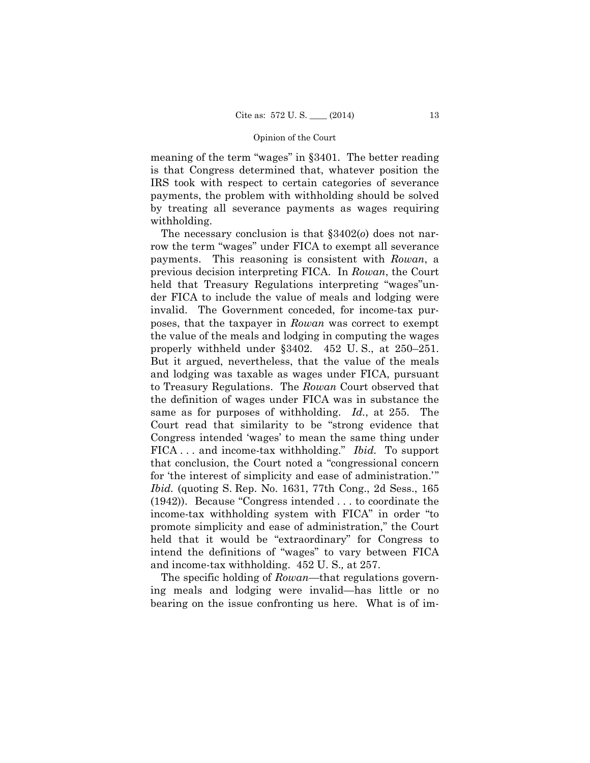meaning of the term "wages" in §3401. The better reading is that Congress determined that, whatever position the IRS took with respect to certain categories of severance payments, the problem with withholding should be solved by treating all severance payments as wages requiring withholding.

The necessary conclusion is that §3402(*o*) does not narrow the term "wages" under FICA to exempt all severance payments. This reasoning is consistent with *Rowan*, a previous decision interpreting FICA. In *Rowan*, the Court held that Treasury Regulations interpreting "wages"under FICA to include the value of meals and lodging were invalid. The Government conceded, for income-tax purposes, that the taxpayer in *Rowan* was correct to exempt the value of the meals and lodging in computing the wages properly withheld under §3402. 452 U. S., at 250–251. But it argued, nevertheless, that the value of the meals and lodging was taxable as wages under FICA, pursuant to Treasury Regulations. The *Rowan* Court observed that the definition of wages under FICA was in substance the same as for purposes of withholding. *Id.*, at 255. The Court read that similarity to be "strong evidence that Congress intended 'wages' to mean the same thing under FICA . . . and income-tax withholding." *Ibid.* To support that conclusion, the Court noted a "congressional concern for 'the interest of simplicity and ease of administration.'" *Ibid.* (quoting S. Rep. No. 1631, 77th Cong., 2d Sess., 165 (1942)). Because "Congress intended . . . to coordinate the income-tax withholding system with FICA" in order "to promote simplicity and ease of administration," the Court held that it would be "extraordinary" for Congress to intend the definitions of "wages" to vary between FICA and income-tax withholding. 452 U. S.*,* at 257.

The specific holding of *Rowan*—that regulations governing meals and lodging were invalid—has little or no bearing on the issue confronting us here. What is of im-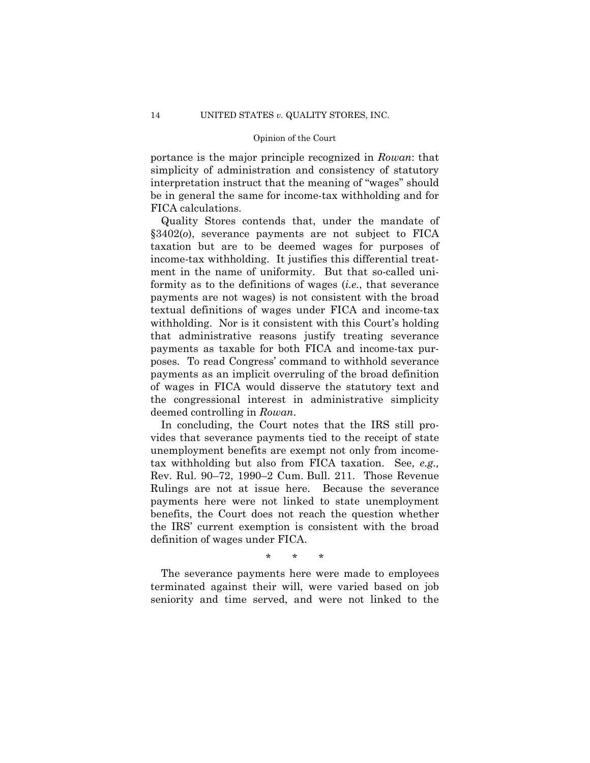portance is the major principle recognized in *Rowan*: that simplicity of administration and consistency of statutory interpretation instruct that the meaning of "wages" should be in general the same for income-tax withholding and for FICA calculations.

Quality Stores contends that, under the mandate of §3402(*o*), severance payments are not subject to FICA taxation but are to be deemed wages for purposes of income-tax withholding. It justifies this differential treatment in the name of uniformity. But that so-called uniformity as to the definitions of wages (*i.e.*, that severance payments are not wages) is not consistent with the broad textual definitions of wages under FICA and income-tax withholding. Nor is it consistent with this Court's holding that administrative reasons justify treating severance payments as taxable for both FICA and income-tax purposes. To read Congress' command to withhold severance payments as an implicit overruling of the broad definition of wages in FICA would disserve the statutory text and the congressional interest in administrative simplicity deemed controlling in *Rowan*.

In concluding, the Court notes that the IRS still provides that severance payments tied to the receipt of state unemployment benefits are exempt not only from incometax withholding but also from FICA taxation. See, *e.g.,* Rev. Rul. 90–72, 1990–2 Cum. Bull. 211. Those Revenue Rulings are not at issue here. Because the severance payments here were not linked to state unemployment benefits, the Court does not reach the question whether the IRS' current exemption is consistent with the broad definition of wages under FICA.

\* \* \*

The severance payments here were made to employees terminated against their will, were varied based on job seniority and time served, and were not linked to the